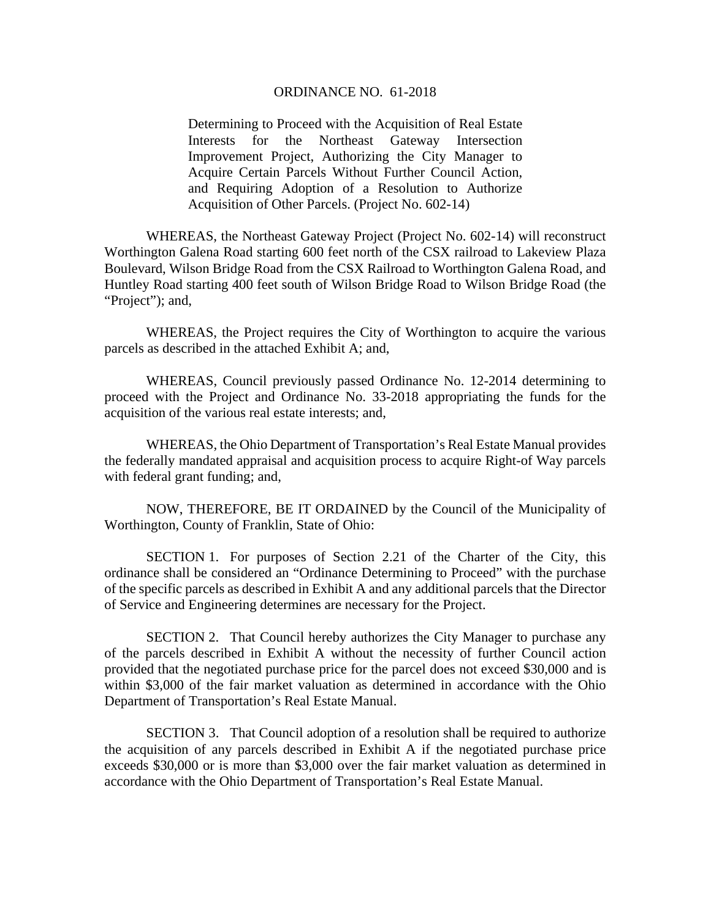#### ORDINANCE NO. 61-2018

Determining to Proceed with the Acquisition of Real Estate Interests for the Northeast Gateway Intersection Improvement Project, Authorizing the City Manager to Acquire Certain Parcels Without Further Council Action, and Requiring Adoption of a Resolution to Authorize Acquisition of Other Parcels. (Project No. 602-14)

 WHEREAS, the Northeast Gateway Project (Project No. 602-14) will reconstruct Worthington Galena Road starting 600 feet north of the CSX railroad to Lakeview Plaza Boulevard, Wilson Bridge Road from the CSX Railroad to Worthington Galena Road, and Huntley Road starting 400 feet south of Wilson Bridge Road to Wilson Bridge Road (the "Project"); and,

 WHEREAS, the Project requires the City of Worthington to acquire the various parcels as described in the attached Exhibit A; and,

WHEREAS, Council previously passed Ordinance No. 12-2014 determining to proceed with the Project and Ordinance No. 33-2018 appropriating the funds for the acquisition of the various real estate interests; and,

 WHEREAS, the Ohio Department of Transportation's Real Estate Manual provides the federally mandated appraisal and acquisition process to acquire Right-of Way parcels with federal grant funding; and,

 NOW, THEREFORE, BE IT ORDAINED by the Council of the Municipality of Worthington, County of Franklin, State of Ohio:

 SECTION 1. For purposes of Section 2.21 of the Charter of the City, this ordinance shall be considered an "Ordinance Determining to Proceed" with the purchase of the specific parcels as described in Exhibit A and any additional parcels that the Director of Service and Engineering determines are necessary for the Project.

SECTION 2. That Council hereby authorizes the City Manager to purchase any of the parcels described in Exhibit A without the necessity of further Council action provided that the negotiated purchase price for the parcel does not exceed \$30,000 and is within \$3,000 of the fair market valuation as determined in accordance with the Ohio Department of Transportation's Real Estate Manual.

SECTION 3. That Council adoption of a resolution shall be required to authorize the acquisition of any parcels described in Exhibit A if the negotiated purchase price exceeds \$30,000 or is more than \$3,000 over the fair market valuation as determined in accordance with the Ohio Department of Transportation's Real Estate Manual.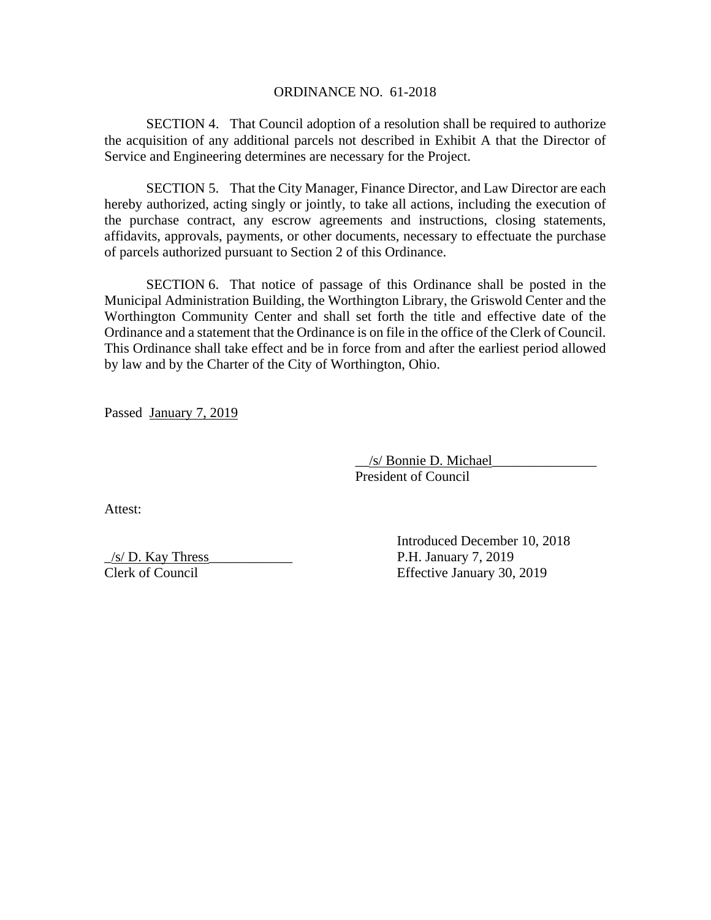### ORDINANCE NO. 61-2018

SECTION 4. That Council adoption of a resolution shall be required to authorize the acquisition of any additional parcels not described in Exhibit A that the Director of Service and Engineering determines are necessary for the Project.

SECTION 5. That the City Manager, Finance Director, and Law Director are each hereby authorized, acting singly or jointly, to take all actions, including the execution of the purchase contract, any escrow agreements and instructions, closing statements, affidavits, approvals, payments, or other documents, necessary to effectuate the purchase of parcels authorized pursuant to Section 2 of this Ordinance.

SECTION 6. That notice of passage of this Ordinance shall be posted in the Municipal Administration Building, the Worthington Library, the Griswold Center and the Worthington Community Center and shall set forth the title and effective date of the Ordinance and a statement that the Ordinance is on file in the office of the Clerk of Council. This Ordinance shall take effect and be in force from and after the earliest period allowed by law and by the Charter of the City of Worthington, Ohio.

Passed January 7, 2019

 \_\_/s/ Bonnie D. Michael\_\_\_\_\_\_\_\_\_\_\_\_\_\_\_ President of Council

Attest:

 $\frac{1}{s}$  D. Kay Thress P.H. January 7, 2019 Clerk of Council Effective January 30, 2019

Introduced December 10, 2018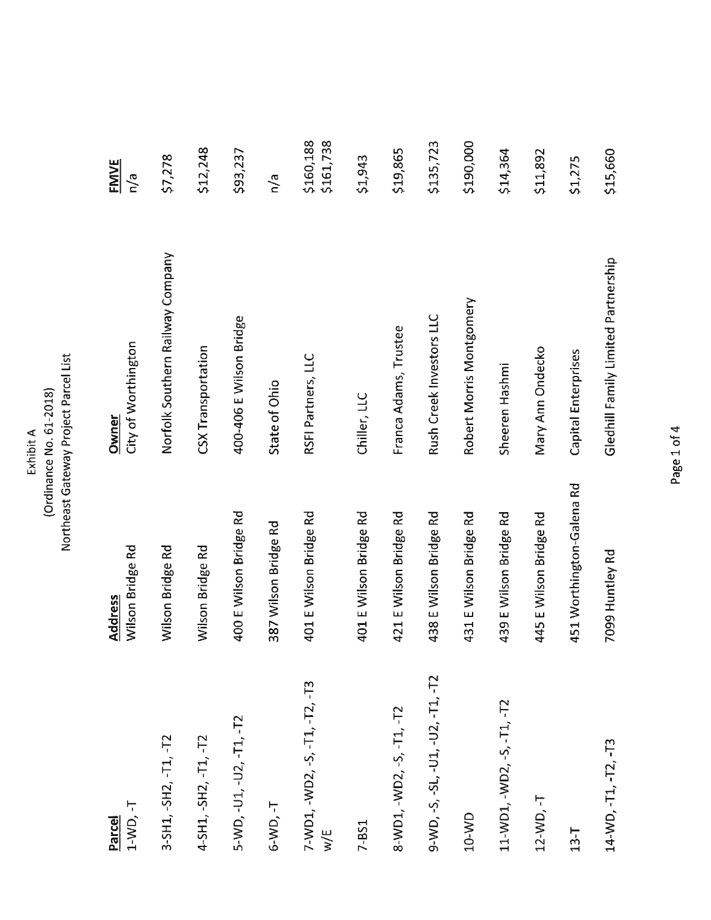| Exhibit A | Ordinance No. 61-2018 | Northeast Gateway Project Parcel List |
|-----------|-----------------------|---------------------------------------|
|-----------|-----------------------|---------------------------------------|

| 1-WD, -T<br>Parcel                        | Wilson Bridge Rd<br><b>Address</b> | City of Worthington<br>Owner        | <b>FMVE</b><br>n/a     |
|-------------------------------------------|------------------------------------|-------------------------------------|------------------------|
| 3-SH1, -SH2, -T1, -T2                     | Wilson Bridge Rd                   | Norfolk Southern Railway Company    | \$7,278                |
| 4-SH1, -SH2, -T1, -T2                     | Wilson Bridge Rd                   | <b>CSX Transportation</b>           | \$12,248               |
| 5-WD, -U1, -U2, -T1, -T2                  | 400 E Wilson Bridge Rd             | 400-406 E Wilson Bridge             | \$93,237               |
| $6-WD, -T$                                | 387 Wilson Bridge Rd               | State of Ohio                       | n/a                    |
| $7 - WD1, -WD2, -5, -T1, -T2, -T3$<br>w/E | 401 E Wilson Bridge Rd             | RSFI Partners, LLC                  | \$161,738<br>\$160,188 |
| 7-BS1                                     | 401 E Wilson Bridge Rd             | Chiller, LLC                        | \$1,943                |
| 8-WD1, -WD2, -S, -T1, -T2                 | 421 E Wilson Bridge Rd             | Franca Adams, Trustee               | \$19,865               |
| 9-WD, -S, -SL, -U1, -U2, -T1, -T2         | 438 E Wilson Bridge Rd             | Rush Creek Investors LLC            | \$135,723              |
| 10-WD                                     | 431 E Wilson Bridge Rd             | Robert Morris Montgomery            | \$190,000              |
| 11-WD1, -WD2, -S, -T1, -T2                | 439 E Wilson Bridge Rd             | Sheeren Hashmi                      | \$14,364               |
| 12-WD, -T                                 | 445 E Wilson Bridge Rd             | Mary Ann Ondecko                    | \$11,892               |
| $13 - 7$                                  | 451 Worthington-Galena Rd          | Capital Enterprises                 | \$1,275                |
| 14-WD, -T1, -T2, -T3                      | 7099 Huntley Rd                    | Gledhill Family Limited Partnership | \$15,660               |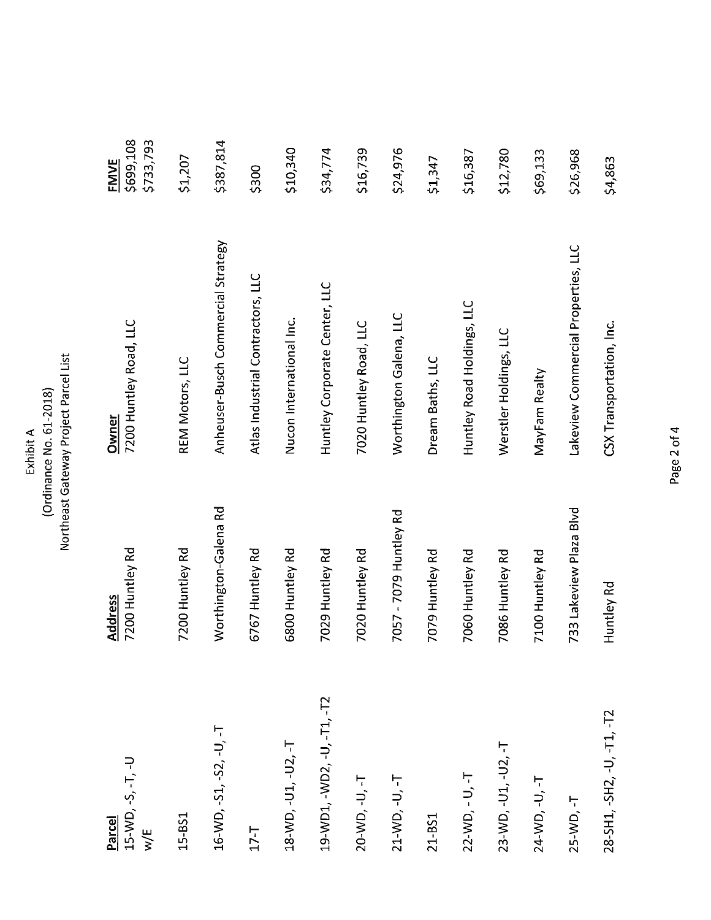| $15-WD, -S, -T, -U$<br>Parcel<br>w/E | 7200 Huntley Rd<br>Address | 7200 Huntley Road, LLC<br>Owner     | \$699,108<br>\$733,793<br><b>FMVE</b> |
|--------------------------------------|----------------------------|-------------------------------------|---------------------------------------|
| 15-BS1                               | 7200 Huntley Rd            | REM Motors, LLC                     | \$1,207                               |
| $16-WD, -51, -52, -U, -T$            | Worthington-Galena Rd      | Anheuser-Busch Commercial Strategy  | \$387,814                             |
| $17 - T$                             | 6767 Huntley Rd            | Atlas Industrial Contractors, LLC   | \$300                                 |
| 18-WD, -U1, -U2, -T                  | 6800 Huntley Rd            | Nucon International Inc.            | \$10,340                              |
| 19-WD1, -WD2, -U, -T1, -T2           | 7029 Huntley Rd            | Huntley Corporate Center, LLC       | \$34,774                              |
| 20-WD, -U, -T                        | 7020 Huntley Rd            | 7020 Huntley Road, LLC              | \$16,739                              |
| 21-WD, -U, -T                        | 7057 - 7079 Huntley Rd     | Worthington Galena, LLC             | \$24,976                              |
| 21-BS1                               | 7079 Huntley Rd            | Dream Baths, LLC                    | \$1,347                               |
| 22-WD, - U, -T                       | 7060 Huntley Rd            | Huntley Road Holdings, LLC          | \$16,387                              |
| 23-WD, -U1, -U2, -T                  | 7086 Huntley Rd            | Werstler Holdings, LLC              | \$12,780                              |
| 24-WD, -U, -T                        | 7100 Huntley Rd            | MayFam Realty                       | \$69,133                              |
| 25-WD, -T                            | 733 Lakeview Plaza Blvd    | Lakeview Commercial Properties, LLC | \$26,968                              |
| 28-SH1, -SH2, -U, -T1, -T2           | Huntley Rd                 | CSX Transportation, Inc.            | \$4,863                               |

Northeast Gateway Project Parcel List Exhibit A<br>(Ordinance No. 61-2018)

Page 2 of 4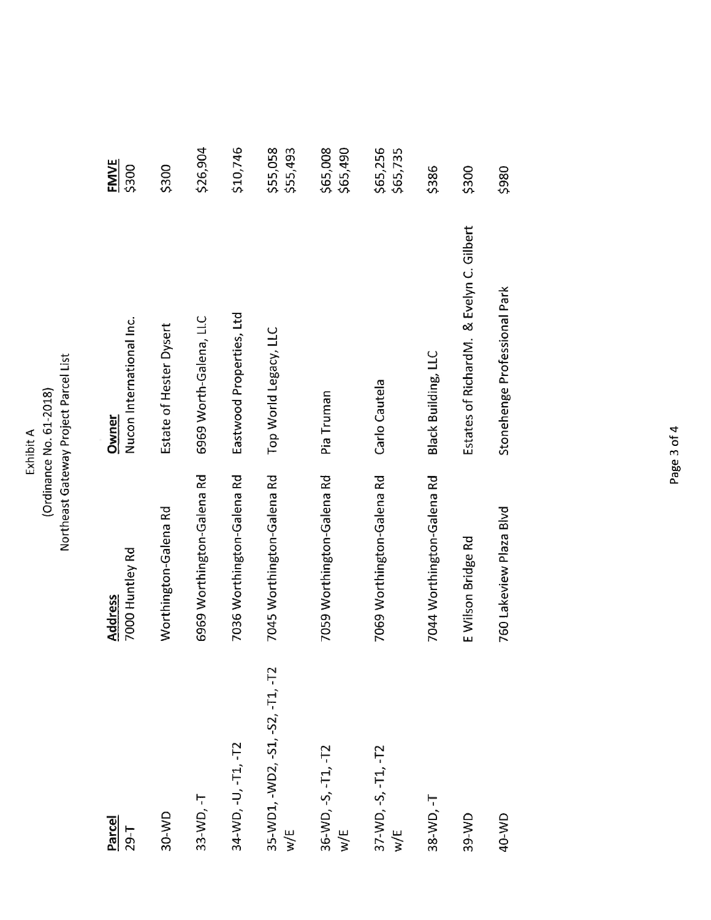# Northeast Gateway Project Parcel List Exhibit A<br>(Ordinance No. 61-2018)

| Parcel<br>$29 - T$                                | 7000 Huntley Rd<br><b>Address</b> | Nucon International Inc.<br>Owner        | <b>FMVE</b><br>\$300 |
|---------------------------------------------------|-----------------------------------|------------------------------------------|----------------------|
| 30-WD                                             | Worthington-Galena Rd             | Estate of Hester Dysert                  | \$300                |
| 33-WD, -T                                         | 6969 Worthington-Galena Rd        | 6969 Worth-Galena, LLC                   | \$26,904             |
| 34-WD, -U, -T1, -T2                               | 7036 Worthington-Galena Rd        | Eastwood Properties, Ltd                 | \$10,746             |
| 35-WD1, -WD2, -S1, -S2, -T1, -T2<br>$\frac{1}{2}$ | 7045 Worthington-Galena Rd        | Top World Legacy, LLC                    | \$55,058<br>\$55,493 |
| 36-WD, -S, -T1, -T2<br>w/E                        | 7059 Worthington-Galena Rd        | Pia Truman                               | \$65,008<br>\$65,490 |
| 37-WD, -S, -T1, -T2<br>$\frac{1}{2}$              | 7069 Worthington-Galena Rd        | Carlo Cautela                            | \$65,256<br>\$65,735 |
| 38-WD, -T                                         | 7044 Worthington-Galena Rd        | <b>Black Building, LLC</b>               | \$386                |
| 39-WD                                             | E Wilson Bridge Rd                | Estates of RichardM. & Evelyn C. Gilbert | \$300                |
| 40-WD                                             | 760 Lakeview Plaza Blvd           | Stonehenge Professional Park             | \$980                |